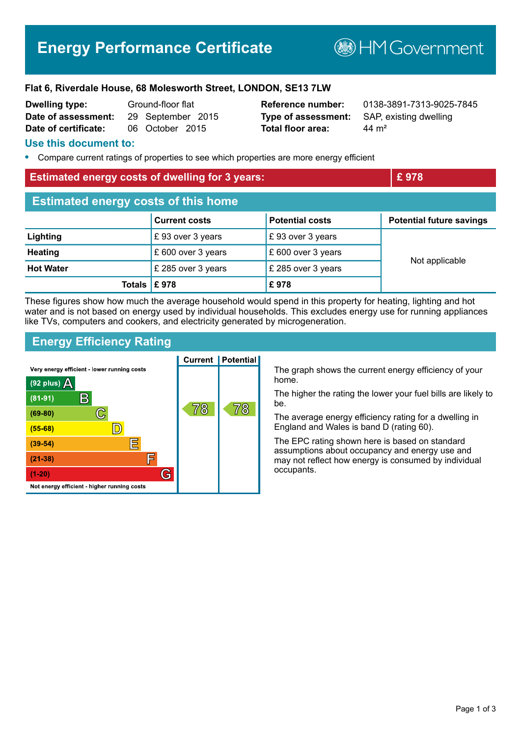# **Energy Performance Certificate**

**BHM Government** 

#### **Flat 6, Riverdale House, 68 Molesworth Street, LONDON, SE13 7LW**

| <b>Dwelling type:</b> | Ground-floor flat |                   |
|-----------------------|-------------------|-------------------|
| Date of assessment:   |                   | 29 September 2015 |
| Date of certificate:  |                   | 06 October 2015   |

**Type of assessment:** SAP, existing dwelling **Total floor area:** 44 m<sup>2</sup>

**Reference number:** 0138-3891-7313-9025-7845

#### **Use this document to:**

**•** Compare current ratings of properties to see which properties are more energy efficient

#### **Estimated energy costs of dwelling for 3 years: EXEC 2008 EXEC 278**

| <b>Estimated energy costs of this home</b> |                      |                        |                                 |  |
|--------------------------------------------|----------------------|------------------------|---------------------------------|--|
|                                            | <b>Current costs</b> | <b>Potential costs</b> | <b>Potential future savings</b> |  |
| Lighting                                   | £93 over 3 years     | £93 over 3 years       |                                 |  |
| <b>Heating</b>                             | £ 600 over 3 years   | £ 600 over 3 years     | Not applicable                  |  |
| <b>Hot Water</b>                           | £ 285 over 3 years   | £ 285 over 3 years     |                                 |  |
| Totals $\mathsf{E}$ 978                    |                      | £978                   |                                 |  |

These figures show how much the average household would spend in this property for heating, lighting and hot water and is not based on energy used by individual households. This excludes energy use for running appliances like TVs, computers and cookers, and electricity generated by microgeneration.

### **Energy Efficiency Rating**



The graph shows the current energy efficiency of your home.

The higher the rating the lower your fuel bills are likely to be.

The average energy efficiency rating for a dwelling in England and Wales is band D (rating 60).

The EPC rating shown here is based on standard assumptions about occupancy and energy use and may not reflect how energy is consumed by individual occupants.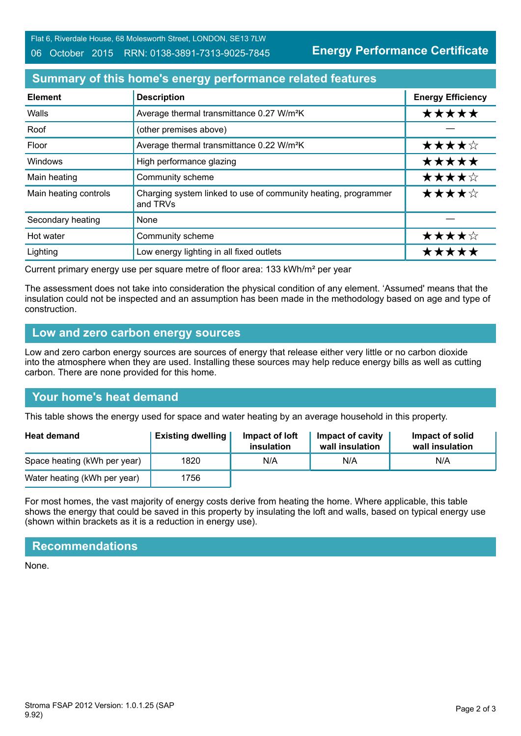Flat 6, Riverdale House, 68 Molesworth Street, LONDON, SE13 7LW

#### 06 October 2015 RRN: 0138-3891-7313-9025-7845

**Energy Performance Certificate**

# **Summary of this home's energy performance related features**

| <b>Element</b>        | <b>Description</b>                                                         | <b>Energy Efficiency</b> |
|-----------------------|----------------------------------------------------------------------------|--------------------------|
| Walls                 | Average thermal transmittance 0.27 W/m <sup>2</sup> K                      | *****                    |
| Roof                  | (other premises above)                                                     |                          |
| Floor                 | Average thermal transmittance 0.22 W/m <sup>2</sup> K                      | ★★★★☆                    |
| Windows               | High performance glazing                                                   | *****                    |
| Main heating          | Community scheme                                                           | ★★★★☆                    |
| Main heating controls | Charging system linked to use of community heating, programmer<br>and TRVs | ★★★★☆                    |
| Secondary heating     | <b>None</b>                                                                |                          |
| Hot water             | Community scheme                                                           | ★★★★☆                    |
| Lighting              | Low energy lighting in all fixed outlets                                   | *****                    |

Current primary energy use per square metre of floor area: 133 kWh/m² per year

The assessment does not take into consideration the physical condition of any element. 'Assumed' means that the insulation could not be inspected and an assumption has been made in the methodology based on age and type of construction.

### **Low and zero carbon energy sources**

Low and zero carbon energy sources are sources of energy that release either very little or no carbon dioxide into the atmosphere when they are used. Installing these sources may help reduce energy bills as well as cutting carbon. There are none provided for this home.

# **Your home's heat demand**

This table shows the energy used for space and water heating by an average household in this property.

| <b>Heat demand</b>           | <b>Existing dwelling</b> | Impact of loft<br>insulation | Impact of cavity<br>wall insulation | Impact of solid<br>wall insulation |
|------------------------------|--------------------------|------------------------------|-------------------------------------|------------------------------------|
| Space heating (kWh per year) | 1820                     | N/A                          | N/A                                 | N/A                                |
| Water heating (kWh per year) | 1756                     |                              |                                     |                                    |

For most homes, the vast majority of energy costs derive from heating the home. Where applicable, this table shows the energy that could be saved in this property by insulating the loft and walls, based on typical energy use (shown within brackets as it is a reduction in energy use).

# **Recommendations**

None.